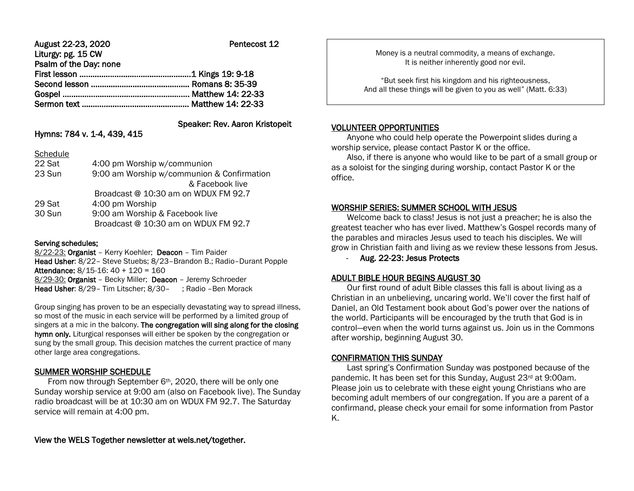| August 22-23, 2020     | Pentecost 12 |
|------------------------|--------------|
| Liturgy: pg. 15 CW     |              |
| Psalm of the Day: none |              |
|                        |              |
|                        |              |
|                        |              |
|                        |              |
|                        |              |

# Speaker: Rev. Aaron Kristopeit

# Hymns: 784 v. 1-4, 439, 415

| Schedule             |  |
|----------------------|--|
| $\sim$ $\sim$ $\sim$ |  |

| 22 Sat | 4:00 pm Worship w/communion                |
|--------|--------------------------------------------|
| 23 Sun | 9:00 am Worship w/communion & Confirmation |
|        | & Facebook live                            |
|        | Broadcast @ 10:30 am on WDUX FM 92.7       |
| 29 Sat | 4:00 pm Worship                            |
| 30 Sun | 9:00 am Worship & Facebook live            |
|        | Broadcast @ 10:30 am on WDUX FM 92.7       |
|        |                                            |

#### Serving schedules:

8/22-23: Organist – Kerry Koehler; Deacon – Tim Paider Head Usher: 8/22– Steve Stuebs; 8/23–Brandon B.; Radio–Durant Popple Attendance: 8/15-16: 40 + 120 = 160 8/29-30: Organist - Becky Miller; Deacon - Jeremy Schroeder Head Usher: 8/29 - Tim Litscher; 8/30 - ; Radio - Ben Morack

Group singing has proven to be an especially devastating way to spread illness, so most of the music in each service will be performed by a limited group of singers at a mic in the balcony. The congregation will sing along for the closing hymn only. Liturgical responses will either be spoken by the congregation or sung by the small group. This decision matches the current practice of many other large area congregations.

# SUMMER WORSHIP SCHEDULE

From now through September 6<sup>th</sup>, 2020, there will be only one Sunday worship service at 9:00 am (also on Facebook live). The Sunday radio broadcast will be at 10:30 am on WDUX FM 92.7. The Saturday service will remain at 4:00 pm.

Money is a neutral commodity, a means of exchange. It is neither inherently good nor evil.

"But seek first his kingdom and his righteousness, And all these things will be given to you as well" (Matt. 6:33)

#### VOLUNTEER OPPORTUNITIES

Ι

 Anyone who could help operate the Powerpoint slides during a worship service, please contact Pastor K or the office.

 Also, if there is anyone who would like to be part of a small group or as a soloist for the singing during worship, contact Pastor K or the office.

# WORSHIP SERIES: SUMMER SCHOOL WITH JESUS

 Welcome back to class! Jesus is not just a preacher; he is also the greatest teacher who has ever lived. Matthew's Gospel records many of the parables and miracles Jesus used to teach his disciples. We will grow in Christian faith and living as we review these lessons from Jesus.

- Aug. 22-23: Jesus Protects

# ADULT BIBLE HOUR BEGINS AUGUST 30

 Our first round of adult Bible classes this fall is about living as a Christian in an unbelieving, uncaring world. We'll cover the first half of Daniel, an Old Testament book about God's power over the nations of the world. Participants will be encouraged by the truth that God is in control—even when the world turns against us. Join us in the Commons after worship, beginning August 30.

#### CONFIRMATION THIS SUNDAY

 Last spring's Confirmation Sunday was postponed because of the pandemic. It has been set for this Sunday, August 23<sup>rd</sup> at 9:00am. Please join us to celebrate with these eight young Christians who are becoming adult members of our congregation. If you are a parent of a confirmand, please check your email for some information from Pastor K.